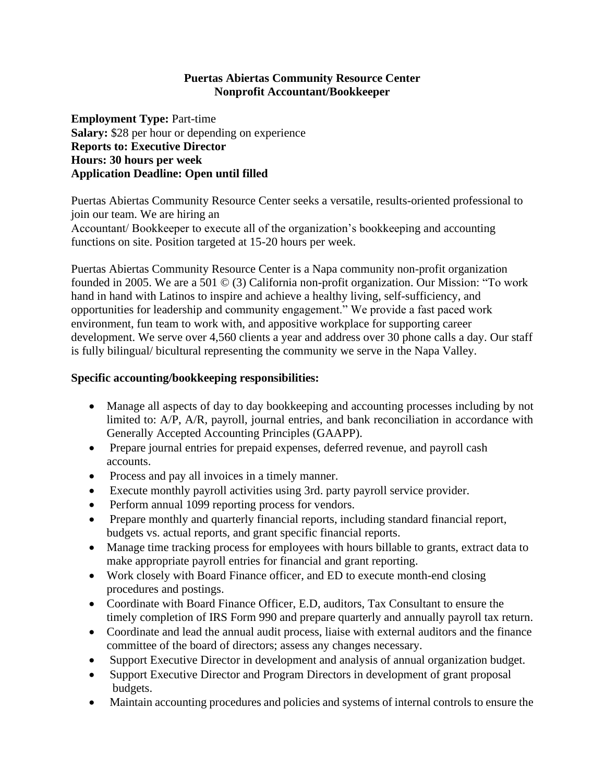### **Puertas Abiertas Community Resource Center Nonprofit Accountant/Bookkeeper**

**Employment Type:** Part-time **Salary:** \$28 per hour or depending on experience **Reports to: Executive Director Hours: 30 hours per week Application Deadline: Open until filled**

Puertas Abiertas Community Resource Center seeks a versatile, results-oriented professional to join our team. We are hiring an Accountant/ Bookkeeper to execute all of the organization's bookkeeping and accounting functions on site. Position targeted at 15-20 hours per week.

Puertas Abiertas Community Resource Center is a Napa community non-profit organization founded in 2005. We are a 501 © (3) California non-profit organization. Our Mission: "To work hand in hand with Latinos to inspire and achieve a healthy living, self-sufficiency, and opportunities for leadership and community engagement." We provide a fast paced work environment, fun team to work with, and appositive workplace for supporting career development. We serve over 4,560 clients a year and address over 30 phone calls a day. Our staff is fully bilingual/ bicultural representing the community we serve in the Napa Valley.

### **Specific accounting/bookkeeping responsibilities:**

- Manage all aspects of day to day bookkeeping and accounting processes including by not limited to: A/P, A/R, payroll, journal entries, and bank reconciliation in accordance with Generally Accepted Accounting Principles (GAAPP).
- Prepare journal entries for prepaid expenses, deferred revenue, and payroll cash accounts.
- Process and pay all invoices in a timely manner.
- Execute monthly payroll activities using 3rd. party payroll service provider.
- Perform annual 1099 reporting process for vendors.
- Prepare monthly and quarterly financial reports, including standard financial report, budgets vs. actual reports, and grant specific financial reports.
- Manage time tracking process for employees with hours billable to grants, extract data to make appropriate payroll entries for financial and grant reporting.
- Work closely with Board Finance officer, and ED to execute month-end closing procedures and postings.
- Coordinate with Board Finance Officer, E.D. auditors, Tax Consultant to ensure the timely completion of IRS Form 990 and prepare quarterly and annually payroll tax return.
- Coordinate and lead the annual audit process, liaise with external auditors and the finance committee of the board of directors; assess any changes necessary.
- Support Executive Director in development and analysis of annual organization budget.
- Support Executive Director and Program Directors in development of grant proposal budgets.
- Maintain accounting procedures and policies and systems of internal controls to ensure the